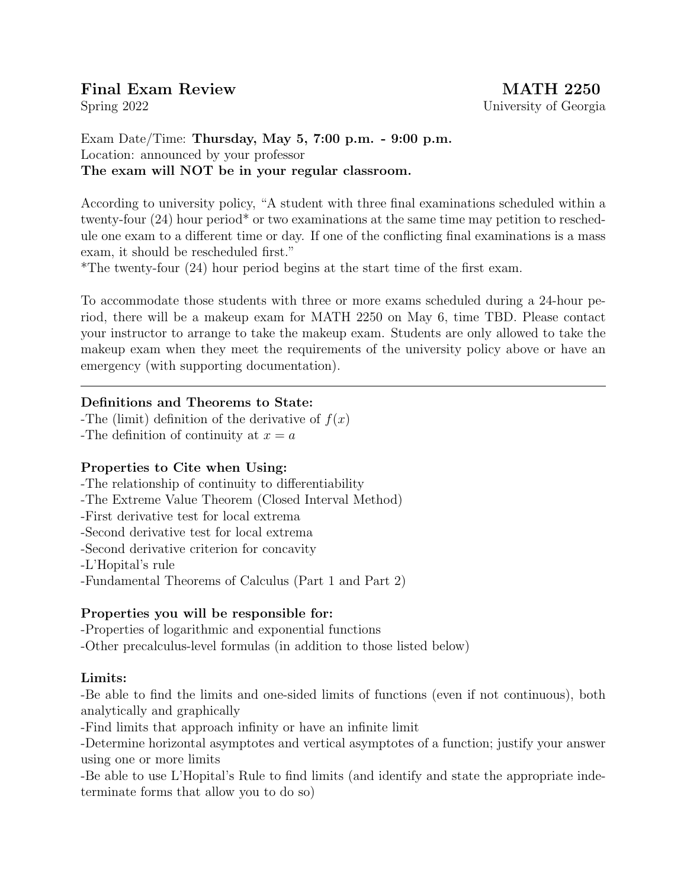# Final Exam Review MATH 2250

Exam Date/Time: Thursday, May 5, 7:00 p.m. - 9:00 p.m. Location: announced by your professor The exam will NOT be in your regular classroom.

According to university policy, "A student with three final examinations scheduled within a twenty-four (24) hour period\* or two examinations at the same time may petition to reschedule one exam to a different time or day. If one of the conflicting final examinations is a mass exam, it should be rescheduled first."

\*The twenty-four (24) hour period begins at the start time of the first exam.

To accommodate those students with three or more exams scheduled during a 24-hour period, there will be a makeup exam for MATH 2250 on May 6, time TBD. Please contact your instructor to arrange to take the makeup exam. Students are only allowed to take the makeup exam when they meet the requirements of the university policy above or have an emergency (with supporting documentation).

### Definitions and Theorems to State:

-The (limit) definition of the derivative of  $f(x)$ -The definition of continuity at  $x = a$ 

### Properties to Cite when Using:

-The relationship of continuity to differentiability

-The Extreme Value Theorem (Closed Interval Method)

-First derivative test for local extrema

-Second derivative test for local extrema

-Second derivative criterion for concavity

-L'Hopital's rule

-Fundamental Theorems of Calculus (Part 1 and Part 2)

### Properties you will be responsible for:

-Properties of logarithmic and exponential functions

-Other precalculus-level formulas (in addition to those listed below)

#### Limits:

-Be able to find the limits and one-sided limits of functions (even if not continuous), both analytically and graphically

-Find limits that approach infinity or have an infinite limit

-Determine horizontal asymptotes and vertical asymptotes of a function; justify your answer using one or more limits

-Be able to use L'Hopital's Rule to find limits (and identify and state the appropriate indeterminate forms that allow you to do so)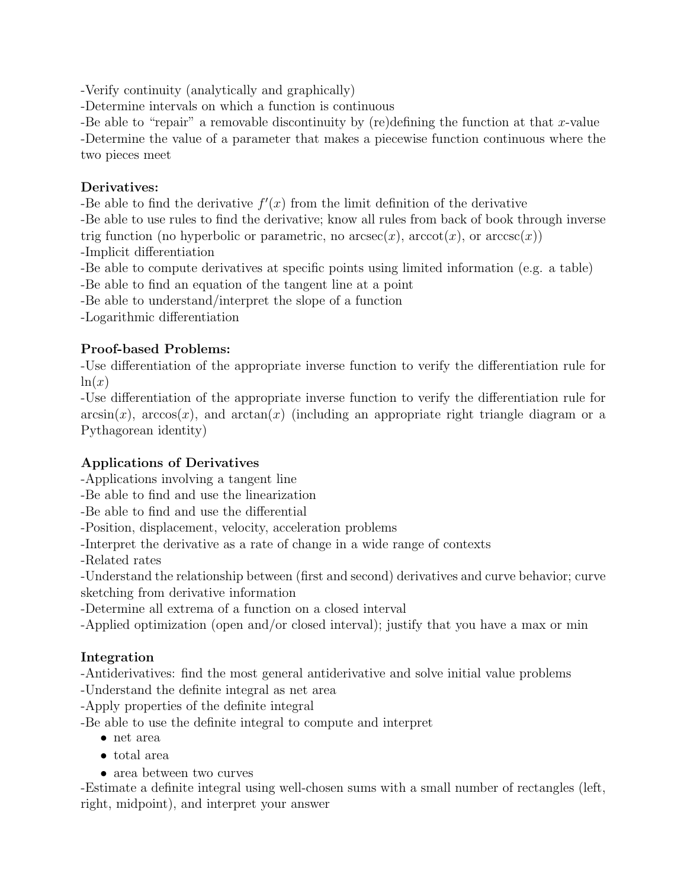-Verify continuity (analytically and graphically)

-Determine intervals on which a function is continuous

-Be able to "repair" a removable discontinuity by (re)defining the function at that x-value -Determine the value of a parameter that makes a piecewise function continuous where the two pieces meet

### Derivatives:

-Be able to find the derivative  $f'(x)$  from the limit definition of the derivative

-Be able to use rules to find the derivative; know all rules from back of book through inverse trig function (no hyperbolic or parametric, no  $arccos(c)$ ,  $arccot(x)$ , or  $arccos(c)$ )

-Implicit differentiation

-Be able to compute derivatives at specific points using limited information (e.g. a table)

-Be able to find an equation of the tangent line at a point

-Be able to understand/interpret the slope of a function

-Logarithmic differentiation

### Proof-based Problems:

-Use differentiation of the appropriate inverse function to verify the differentiation rule for  $ln(x)$ 

-Use differentiation of the appropriate inverse function to verify the differentiation rule for  $arcsin(x)$ ,  $arccos(x)$ , and  $arctan(x)$  (including an appropriate right triangle diagram or a Pythagorean identity)

## Applications of Derivatives

-Applications involving a tangent line

-Be able to find and use the linearization

-Be able to find and use the differential

-Position, displacement, velocity, acceleration problems

-Interpret the derivative as a rate of change in a wide range of contexts

-Related rates

-Understand the relationship between (first and second) derivatives and curve behavior; curve sketching from derivative information

-Determine all extrema of a function on a closed interval

-Applied optimization (open and/or closed interval); justify that you have a max or min

## Integration

-Antiderivatives: find the most general antiderivative and solve initial value problems

-Understand the definite integral as net area

-Apply properties of the definite integral

-Be able to use the definite integral to compute and interpret

- net area
- total area
- area between two curves

-Estimate a definite integral using well-chosen sums with a small number of rectangles (left, right, midpoint), and interpret your answer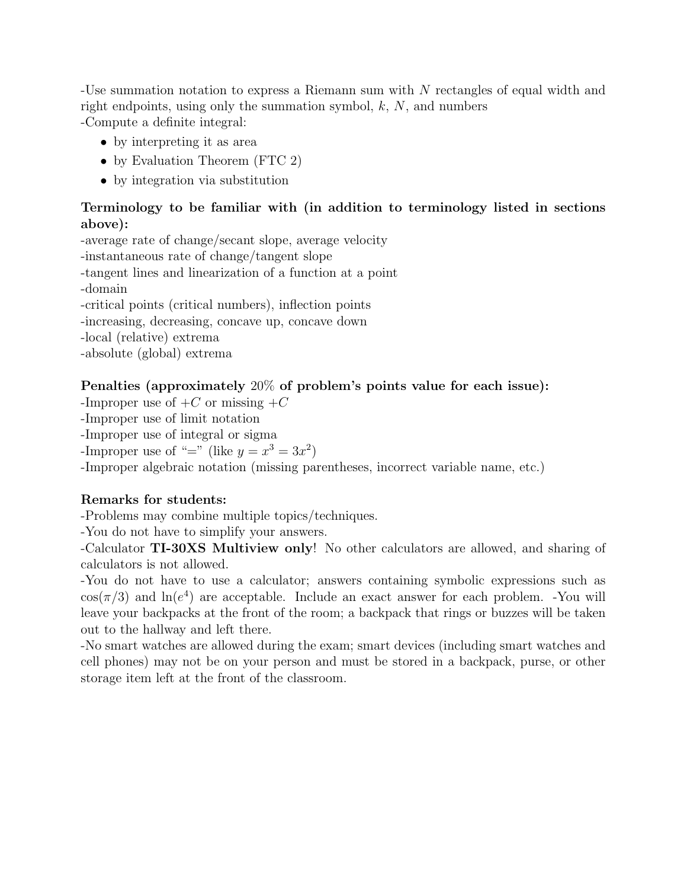-Use summation notation to express a Riemann sum with N rectangles of equal width and right endpoints, using only the summation symbol,  $k$ ,  $N$ , and numbers -Compute a definite integral:

- by interpreting it as area
- by Evaluation Theorem (FTC 2)
- by integration via substitution

#### Terminology to be familiar with (in addition to terminology listed in sections above):

-average rate of change/secant slope, average velocity -instantaneous rate of change/tangent slope -tangent lines and linearization of a function at a point -domain -critical points (critical numbers), inflection points -increasing, decreasing, concave up, concave down -local (relative) extrema -absolute (global) extrema

### Penalties (approximately 20% of problem's points value for each issue):

-Improper use of  $+C$  or missing  $+C$ 

-Improper use of limit notation

-Improper use of integral or sigma

-Improper use of "=" (like  $y = x^3 = 3x^2$ )

-Improper algebraic notation (missing parentheses, incorrect variable name, etc.)

#### Remarks for students:

-Problems may combine multiple topics/techniques.

-You do not have to simplify your answers.

-Calculator TI-30XS Multiview only! No other calculators are allowed, and sharing of calculators is not allowed.

-You do not have to use a calculator; answers containing symbolic expressions such as  $cos(\pi/3)$  and  $ln(e^4)$  are acceptable. Include an exact answer for each problem. -You will leave your backpacks at the front of the room; a backpack that rings or buzzes will be taken out to the hallway and left there.

-No smart watches are allowed during the exam; smart devices (including smart watches and cell phones) may not be on your person and must be stored in a backpack, purse, or other storage item left at the front of the classroom.